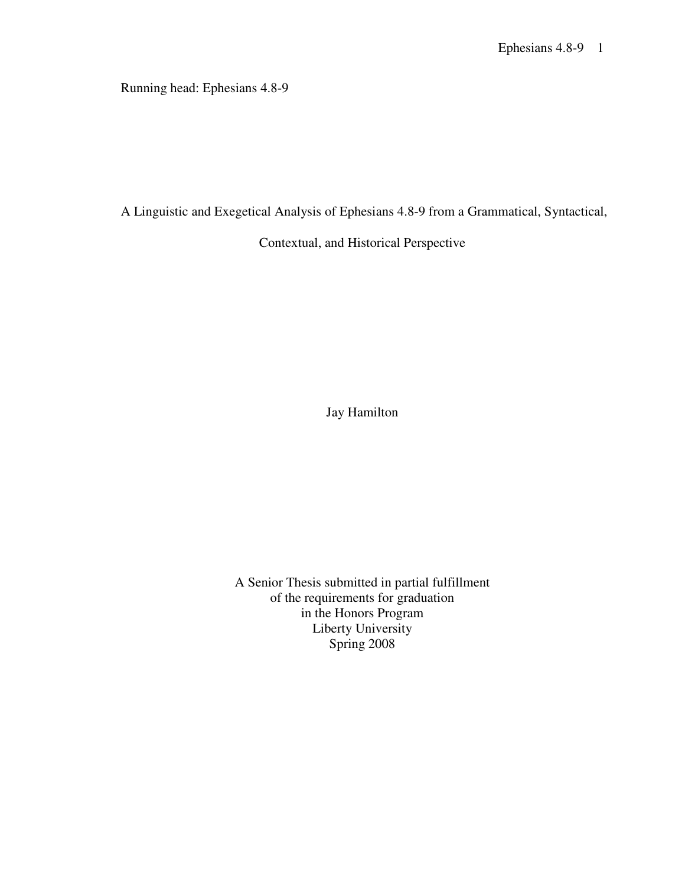Running head: Ephesians 4.8-9

A Linguistic and Exegetical Analysis of Ephesians 4.8-9 from a Grammatical, Syntactical,

Contextual, and Historical Perspective

Jay Hamilton

A Senior Thesis submitted in partial fulfillment of the requirements for graduation in the Honors Program Liberty University Spring 2008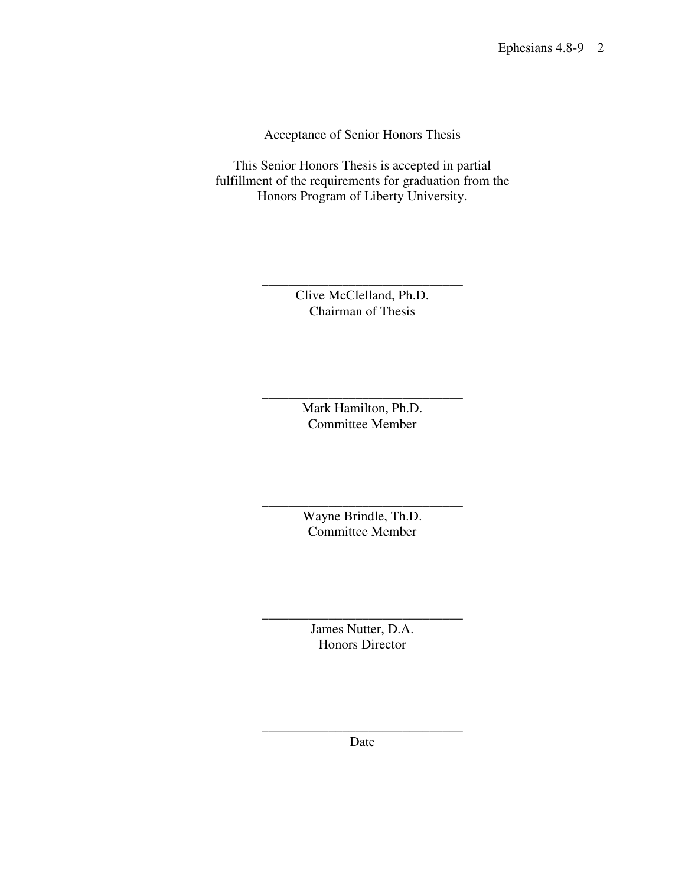Acceptance of Senior Honors Thesis

This Senior Honors Thesis is accepted in partial fulfillment of the requirements for graduation from the Honors Program of Liberty University.

> \_\_\_\_\_\_\_\_\_\_\_\_\_\_\_\_\_\_\_\_\_\_\_\_\_\_\_\_\_\_ Clive McClelland, Ph.D. Chairman of Thesis

> \_\_\_\_\_\_\_\_\_\_\_\_\_\_\_\_\_\_\_\_\_\_\_\_\_\_\_\_\_\_ Mark Hamilton, Ph.D. Committee Member

> \_\_\_\_\_\_\_\_\_\_\_\_\_\_\_\_\_\_\_\_\_\_\_\_\_\_\_\_\_\_ Wayne Brindle, Th.D. Committee Member

> > James Nutter, D.A. Honors Director

\_\_\_\_\_\_\_\_\_\_\_\_\_\_\_\_\_\_\_\_\_\_\_\_\_\_\_\_\_\_

\_\_\_\_\_\_\_\_\_\_\_\_\_\_\_\_\_\_\_\_\_\_\_\_\_\_\_\_\_\_ Date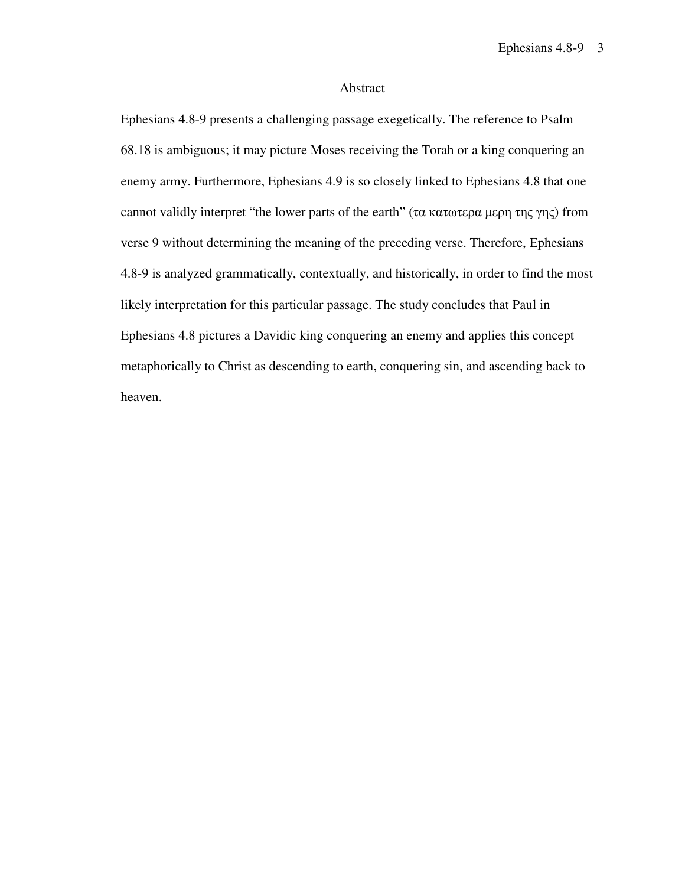## Abstract

Ephesians 4.8-9 presents a challenging passage exegetically. The reference to Psalm 68.18 is ambiguous; it may picture Moses receiving the Torah or a king conquering an enemy army. Furthermore, Ephesians 4.9 is so closely linked to Ephesians 4.8 that one cannot validly interpret "the lower parts of the earth" (τα κατωτερα μερη της γης) from verse 9 without determining the meaning of the preceding verse. Therefore, Ephesians 4.8-9 is analyzed grammatically, contextually, and historically, in order to find the most likely interpretation for this particular passage. The study concludes that Paul in Ephesians 4.8 pictures a Davidic king conquering an enemy and applies this concept metaphorically to Christ as descending to earth, conquering sin, and ascending back to heaven.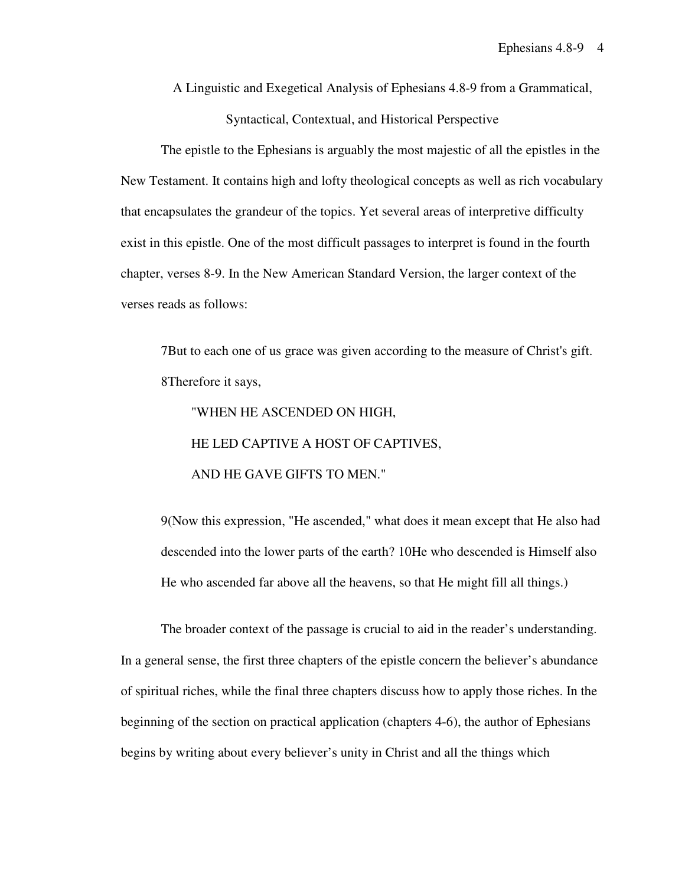A Linguistic and Exegetical Analysis of Ephesians 4.8-9 from a Grammatical, Syntactical, Contextual, and Historical Perspective

The epistle to the Ephesians is arguably the most majestic of all the epistles in the New Testament. It contains high and lofty theological concepts as well as rich vocabulary that encapsulates the grandeur of the topics. Yet several areas of interpretive difficulty exist in this epistle. One of the most difficult passages to interpret is found in the fourth chapter, verses 8-9. In the New American Standard Version, the larger context of the verses reads as follows:

7But to each one of us grace was given according to the measure of Christ's gift. 8Therefore it says,

 "WHEN HE ASCENDED ON HIGH, HE LED CAPTIVE A HOST OF CAPTIVES, AND HE GAVE GIFTS TO MEN."

9(Now this expression, "He ascended," what does it mean except that He also had descended into the lower parts of the earth? 10He who descended is Himself also He who ascended far above all the heavens, so that He might fill all things.)

The broader context of the passage is crucial to aid in the reader's understanding. In a general sense, the first three chapters of the epistle concern the believer's abundance of spiritual riches, while the final three chapters discuss how to apply those riches. In the beginning of the section on practical application (chapters 4-6), the author of Ephesians begins by writing about every believer's unity in Christ and all the things which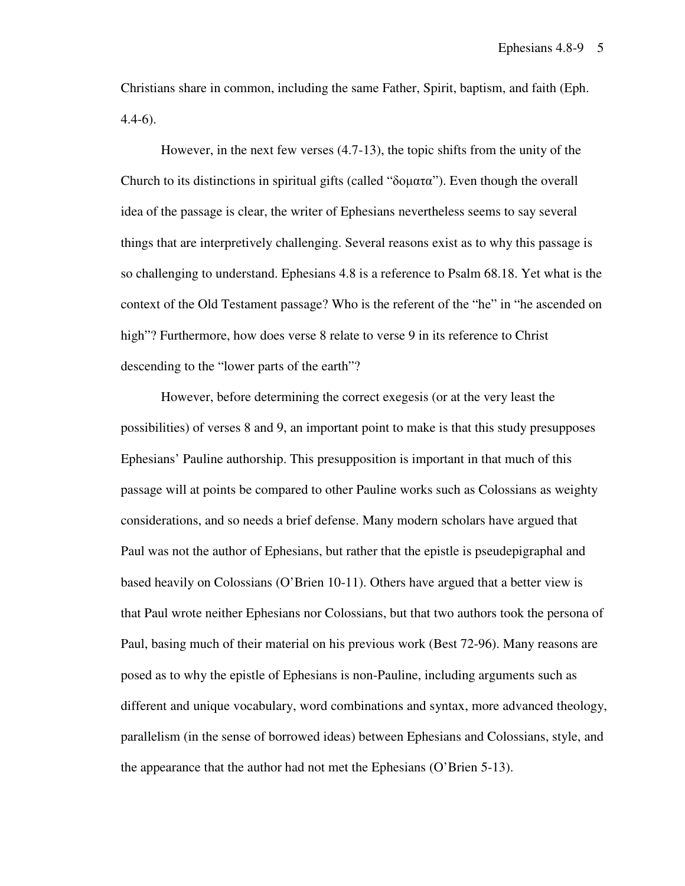Christians share in common, including the same Father, Spirit, baptism, and faith (Eph. 4.4-6).

However, in the next few verses (4.7-13), the topic shifts from the unity of the Church to its distinctions in spiritual gifts (called "δοματα"). Even though the overall idea of the passage is clear, the writer of Ephesians nevertheless seems to say several things that are interpretively challenging. Several reasons exist as to why this passage is so challenging to understand. Ephesians 4.8 is a reference to Psalm 68.18. Yet what is the context of the Old Testament passage? Who is the referent of the "he" in "he ascended on high"? Furthermore, how does verse 8 relate to verse 9 in its reference to Christ descending to the "lower parts of the earth"?

However, before determining the correct exegesis (or at the very least the possibilities) of verses 8 and 9, an important point to make is that this study presupposes Ephesians' Pauline authorship. This presupposition is important in that much of this passage will at points be compared to other Pauline works such as Colossians as weighty considerations, and so needs a brief defense. Many modern scholars have argued that Paul was not the author of Ephesians, but rather that the epistle is pseudepigraphal and based heavily on Colossians (O'Brien 10-11). Others have argued that a better view is that Paul wrote neither Ephesians nor Colossians, but that two authors took the persona of Paul, basing much of their material on his previous work (Best 72-96). Many reasons are posed as to why the epistle of Ephesians is non-Pauline, including arguments such as different and unique vocabulary, word combinations and syntax, more advanced theology, parallelism (in the sense of borrowed ideas) between Ephesians and Colossians, style, and the appearance that the author had not met the Ephesians (O'Brien 5-13).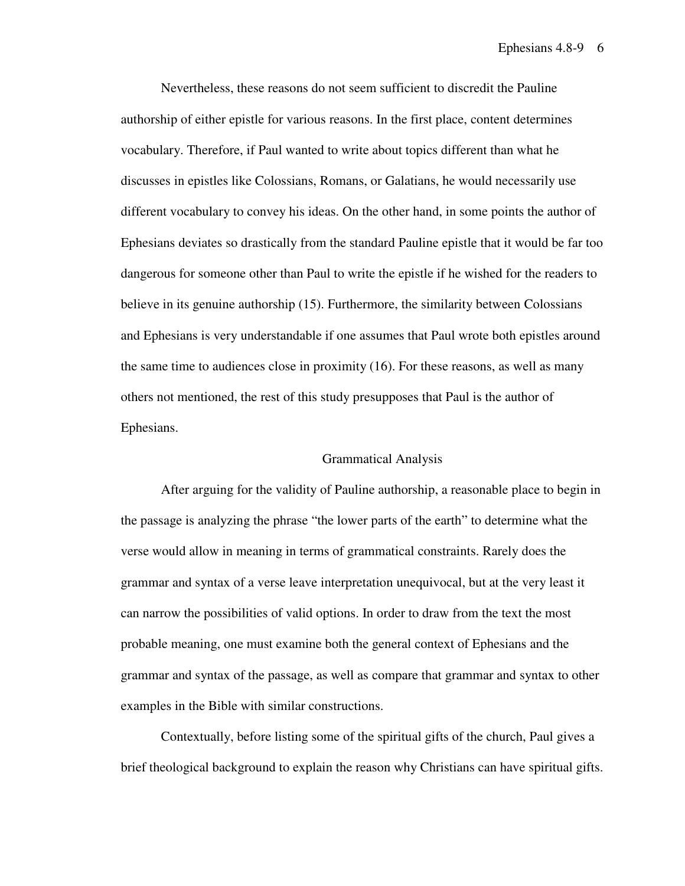Nevertheless, these reasons do not seem sufficient to discredit the Pauline authorship of either epistle for various reasons. In the first place, content determines vocabulary. Therefore, if Paul wanted to write about topics different than what he discusses in epistles like Colossians, Romans, or Galatians, he would necessarily use different vocabulary to convey his ideas. On the other hand, in some points the author of Ephesians deviates so drastically from the standard Pauline epistle that it would be far too dangerous for someone other than Paul to write the epistle if he wished for the readers to believe in its genuine authorship (15). Furthermore, the similarity between Colossians and Ephesians is very understandable if one assumes that Paul wrote both epistles around the same time to audiences close in proximity (16). For these reasons, as well as many others not mentioned, the rest of this study presupposes that Paul is the author of Ephesians.

#### Grammatical Analysis

After arguing for the validity of Pauline authorship, a reasonable place to begin in the passage is analyzing the phrase "the lower parts of the earth" to determine what the verse would allow in meaning in terms of grammatical constraints. Rarely does the grammar and syntax of a verse leave interpretation unequivocal, but at the very least it can narrow the possibilities of valid options. In order to draw from the text the most probable meaning, one must examine both the general context of Ephesians and the grammar and syntax of the passage, as well as compare that grammar and syntax to other examples in the Bible with similar constructions.

Contextually, before listing some of the spiritual gifts of the church, Paul gives a brief theological background to explain the reason why Christians can have spiritual gifts.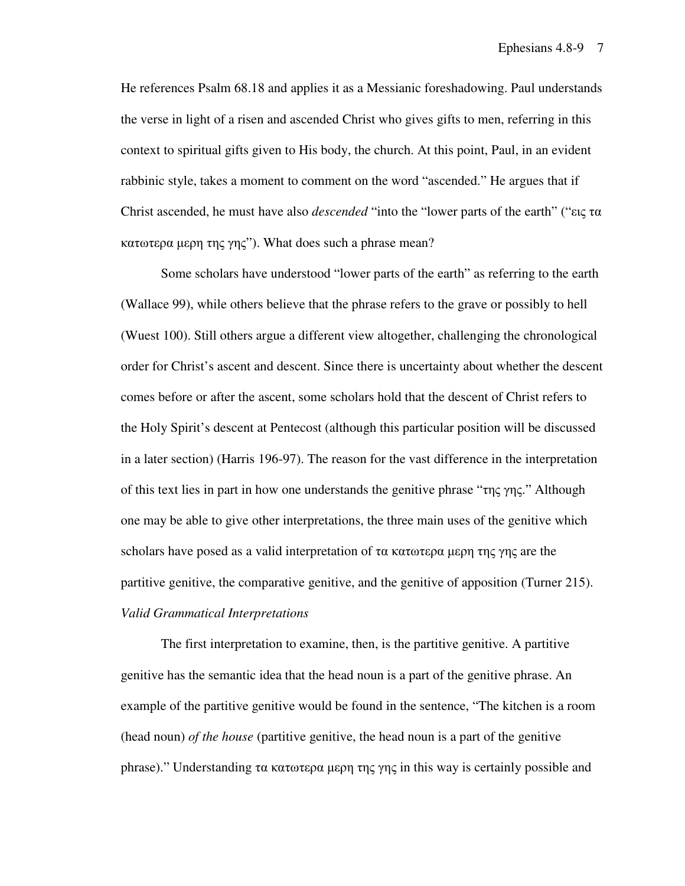He references Psalm 68.18 and applies it as a Messianic foreshadowing. Paul understands the verse in light of a risen and ascended Christ who gives gifts to men, referring in this context to spiritual gifts given to His body, the church. At this point, Paul, in an evident rabbinic style, takes a moment to comment on the word "ascended." He argues that if Christ ascended, he must have also *descended* "into the "lower parts of the earth" ("εις τα κατωτερα µερη της γης"). What does such a phrase mean?

Some scholars have understood "lower parts of the earth" as referring to the earth (Wallace 99), while others believe that the phrase refers to the grave or possibly to hell (Wuest 100). Still others argue a different view altogether, challenging the chronological order for Christ's ascent and descent. Since there is uncertainty about whether the descent comes before or after the ascent, some scholars hold that the descent of Christ refers to the Holy Spirit's descent at Pentecost (although this particular position will be discussed in a later section) (Harris 196-97). The reason for the vast difference in the interpretation of this text lies in part in how one understands the genitive phrase "της γης." Although one may be able to give other interpretations, the three main uses of the genitive which scholars have posed as a valid interpretation of τα κατωτερα μερη της γης are the partitive genitive, the comparative genitive, and the genitive of apposition (Turner 215). *Valid Grammatical Interpretations* 

The first interpretation to examine, then, is the partitive genitive. A partitive genitive has the semantic idea that the head noun is a part of the genitive phrase. An example of the partitive genitive would be found in the sentence, "The kitchen is a room (head noun) *of the house* (partitive genitive, the head noun is a part of the genitive phrase)." Understanding τα κατωτερα μερη της γης in this way is certainly possible and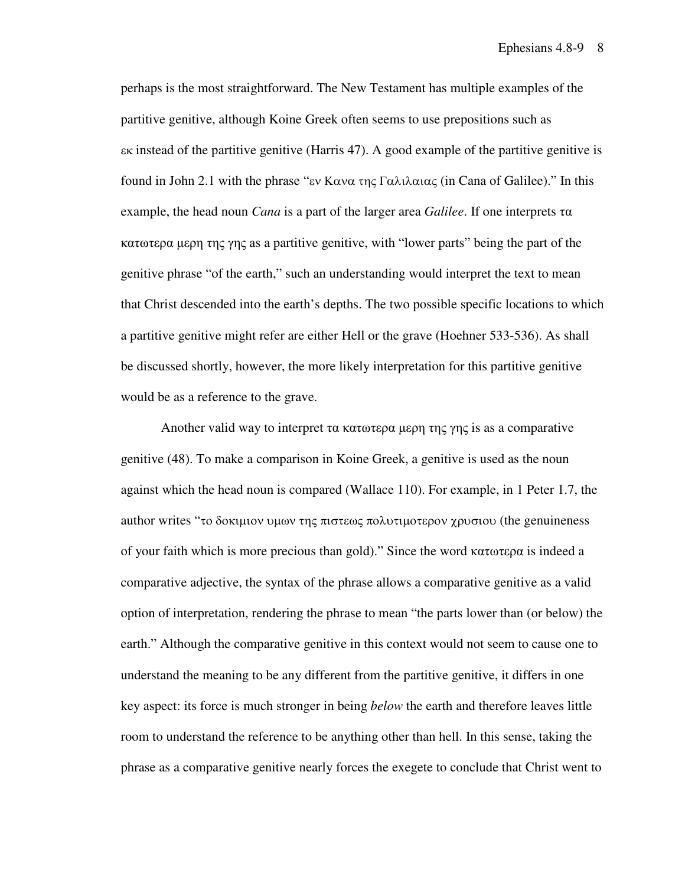perhaps is the most straightforward. The New Testament has multiple examples of the partitive genitive, although Koine Greek often seems to use prepositions such as εκ instead of the partitive genitive (Harris 47). A good example of the partitive genitive is found in John 2.1 with the phrase "εν Κανα της Γαλιλαιας (in Cana of Galilee)." In this example, the head noun *Cana* is a part of the larger area *Galilee*. If one interprets τα κατωτερα µερη της γης as a partitive genitive, with "lower parts" being the part of the genitive phrase "of the earth," such an understanding would interpret the text to mean that Christ descended into the earth's depths. The two possible specific locations to which a partitive genitive might refer are either Hell or the grave (Hoehner 533-536). As shall be discussed shortly, however, the more likely interpretation for this partitive genitive would be as a reference to the grave.

Another valid way to interpret τα κατωτερα μερη της γης is as a comparative genitive (48). To make a comparison in Koine Greek, a genitive is used as the noun against which the head noun is compared (Wallace 110). For example, in 1 Peter 1.7, the author writes "το δοκιµιον υµων της πιστεως πολυτιµοτερον χρυσιου (the genuineness of your faith which is more precious than gold)." Since the word κατωτερα is indeed a comparative adjective, the syntax of the phrase allows a comparative genitive as a valid option of interpretation, rendering the phrase to mean "the parts lower than (or below) the earth." Although the comparative genitive in this context would not seem to cause one to understand the meaning to be any different from the partitive genitive, it differs in one key aspect: its force is much stronger in being *below* the earth and therefore leaves little room to understand the reference to be anything other than hell. In this sense, taking the phrase as a comparative genitive nearly forces the exegete to conclude that Christ went to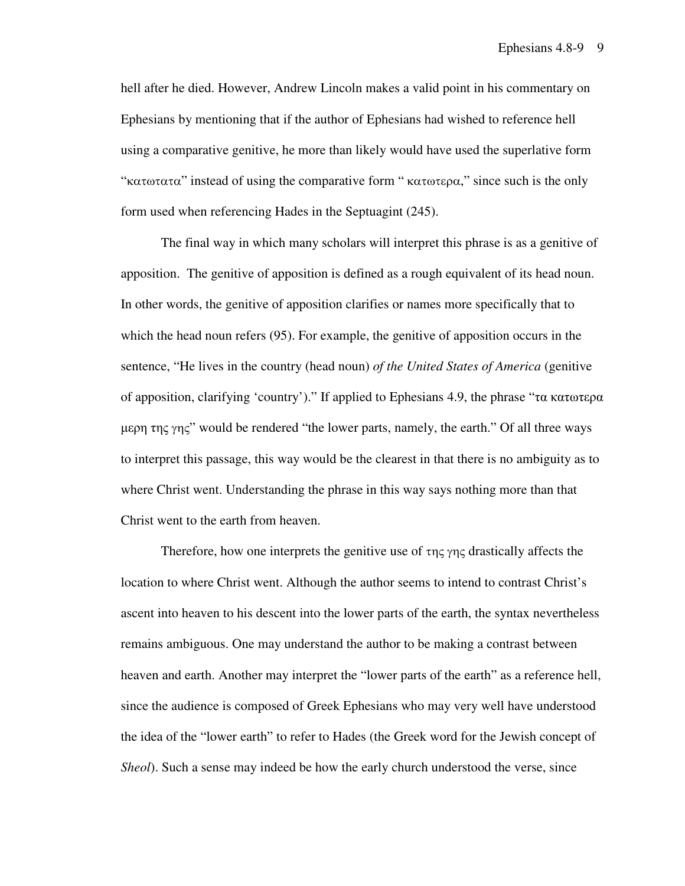hell after he died. However, Andrew Lincoln makes a valid point in his commentary on Ephesians by mentioning that if the author of Ephesians had wished to reference hell using a comparative genitive, he more than likely would have used the superlative form "κατωτατα" instead of using the comparative form " κατωτερα," since such is the only form used when referencing Hades in the Septuagint (245).

The final way in which many scholars will interpret this phrase is as a genitive of apposition. The genitive of apposition is defined as a rough equivalent of its head noun. In other words, the genitive of apposition clarifies or names more specifically that to which the head noun refers (95). For example, the genitive of apposition occurs in the sentence, "He lives in the country (head noun) *of the United States of America* (genitive of apposition, clarifying 'country')." If applied to Ephesians 4.9, the phrase "τα κατωτερα µερη της γης" would be rendered "the lower parts, namely, the earth." Of all three ways to interpret this passage, this way would be the clearest in that there is no ambiguity as to where Christ went. Understanding the phrase in this way says nothing more than that Christ went to the earth from heaven.

Therefore, how one interprets the genitive use of  $\tau$ ης γης drastically affects the location to where Christ went. Although the author seems to intend to contrast Christ's ascent into heaven to his descent into the lower parts of the earth, the syntax nevertheless remains ambiguous. One may understand the author to be making a contrast between heaven and earth. Another may interpret the "lower parts of the earth" as a reference hell, since the audience is composed of Greek Ephesians who may very well have understood the idea of the "lower earth" to refer to Hades (the Greek word for the Jewish concept of *Sheol*). Such a sense may indeed be how the early church understood the verse, since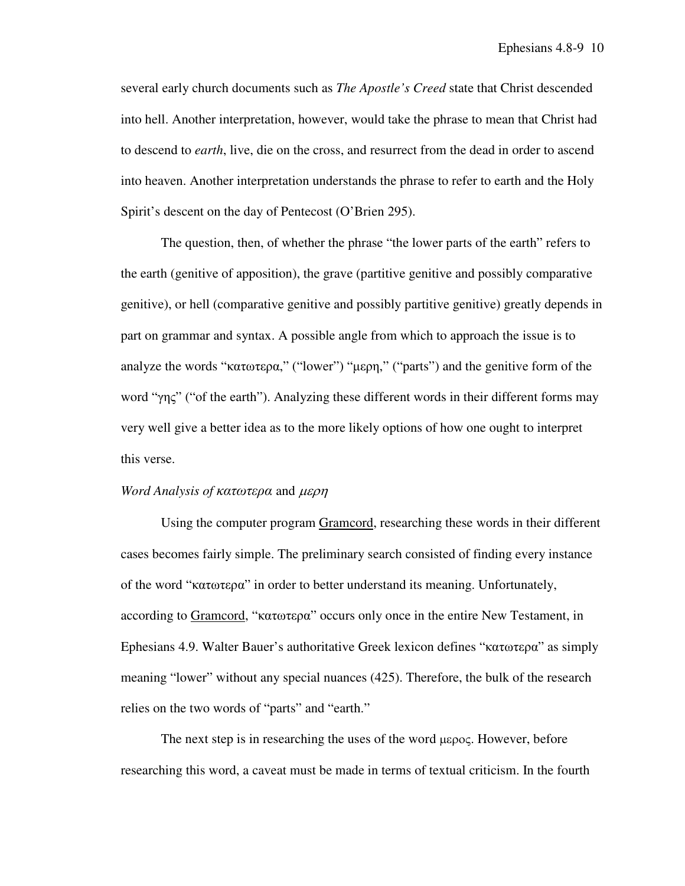several early church documents such as *The Apostle's Creed* state that Christ descended into hell. Another interpretation, however, would take the phrase to mean that Christ had to descend to *earth*, live, die on the cross, and resurrect from the dead in order to ascend into heaven. Another interpretation understands the phrase to refer to earth and the Holy Spirit's descent on the day of Pentecost (O'Brien 295).

The question, then, of whether the phrase "the lower parts of the earth" refers to the earth (genitive of apposition), the grave (partitive genitive and possibly comparative genitive), or hell (comparative genitive and possibly partitive genitive) greatly depends in part on grammar and syntax. A possible angle from which to approach the issue is to analyze the words "κατωτερα," ("lower") "µερη," ("parts") and the genitive form of the word "γης" ("of the earth"). Analyzing these different words in their different forms may very well give a better idea as to the more likely options of how one ought to interpret this verse.

### *Word Analysis of* κατωτερα and µερη

Using the computer program Gramcord, researching these words in their different cases becomes fairly simple. The preliminary search consisted of finding every instance of the word "κατωτερα" in order to better understand its meaning. Unfortunately, according to Gramcord, "κατωτερα" occurs only once in the entire New Testament, in Ephesians 4.9. Walter Bauer's authoritative Greek lexicon defines "κατωτερα" as simply meaning "lower" without any special nuances (425). Therefore, the bulk of the research relies on the two words of "parts" and "earth."

The next step is in researching the uses of the word µερος. However, before researching this word, a caveat must be made in terms of textual criticism. In the fourth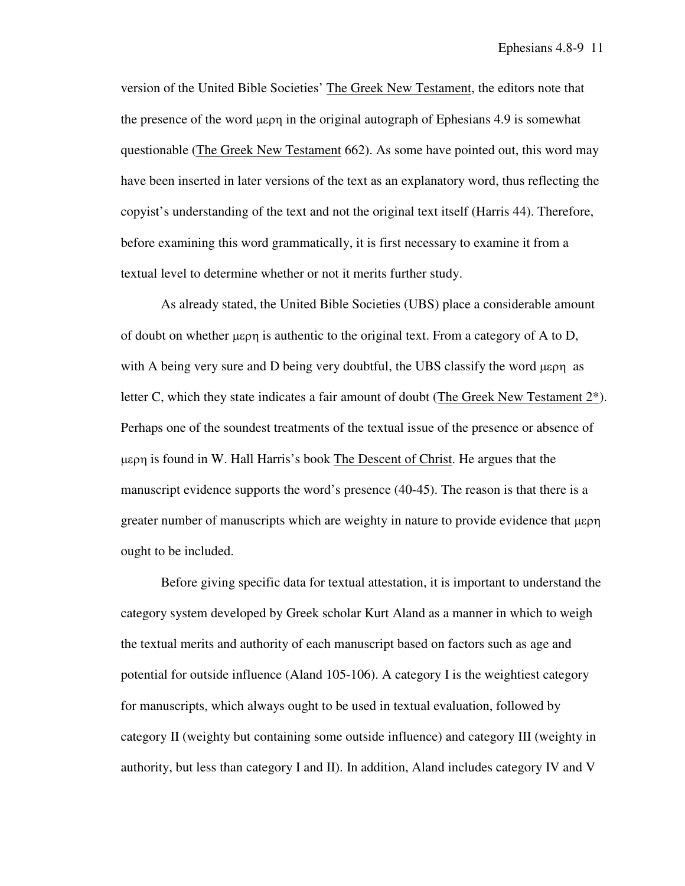version of the United Bible Societies' The Greek New Testament, the editors note that the presence of the word µερη in the original autograph of Ephesians 4.9 is somewhat questionable (The Greek New Testament 662). As some have pointed out, this word may have been inserted in later versions of the text as an explanatory word, thus reflecting the copyist's understanding of the text and not the original text itself (Harris 44). Therefore, before examining this word grammatically, it is first necessary to examine it from a textual level to determine whether or not it merits further study.

As already stated, the United Bible Societies (UBS) place a considerable amount of doubt on whether µερη is authentic to the original text. From a category of A to D, with A being very sure and D being very doubtful, the UBS classify the word  $\mu_{\text{EPI}}$  as letter C, which they state indicates a fair amount of doubt (The Greek New Testament 2\*). Perhaps one of the soundest treatments of the textual issue of the presence or absence of µερη is found in W. Hall Harris's book The Descent of Christ. He argues that the manuscript evidence supports the word's presence (40-45). The reason is that there is a greater number of manuscripts which are weighty in nature to provide evidence that  $\mu \epsilon$ ought to be included.

Before giving specific data for textual attestation, it is important to understand the category system developed by Greek scholar Kurt Aland as a manner in which to weigh the textual merits and authority of each manuscript based on factors such as age and potential for outside influence (Aland 105-106). A category I is the weightiest category for manuscripts, which always ought to be used in textual evaluation, followed by category II (weighty but containing some outside influence) and category III (weighty in authority, but less than category I and II). In addition, Aland includes category IV and V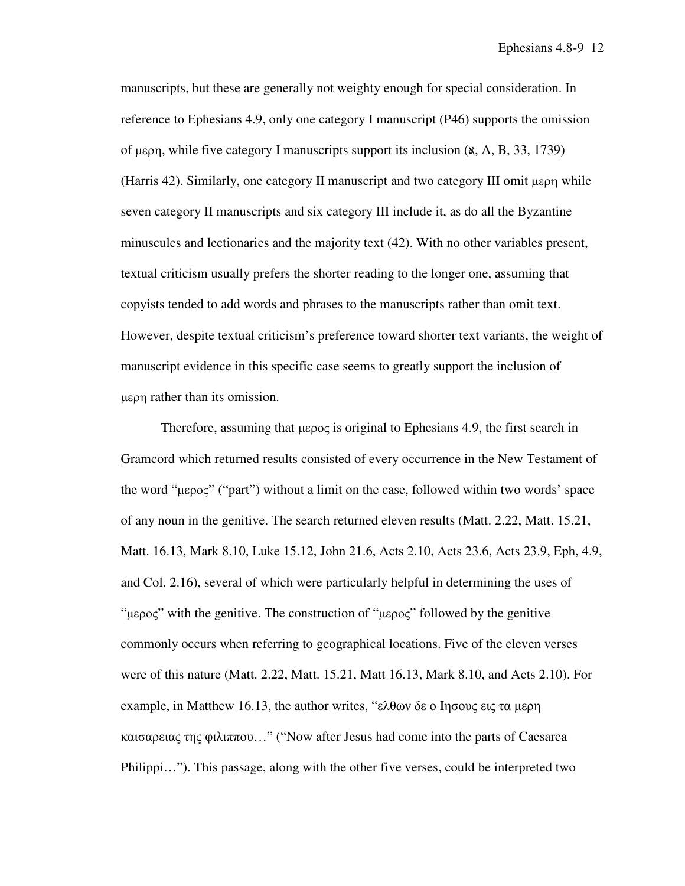manuscripts, but these are generally not weighty enough for special consideration. In reference to Ephesians 4.9, only one category I manuscript (P46) supports the omission of μερη, while five category I manuscripts support its inclusion  $(x, A, B, 33, 1739)$ (Harris 42). Similarly, one category II manuscript and two category III omit µερη while seven category II manuscripts and six category III include it, as do all the Byzantine minuscules and lectionaries and the majority text (42). With no other variables present, textual criticism usually prefers the shorter reading to the longer one, assuming that copyists tended to add words and phrases to the manuscripts rather than omit text. However, despite textual criticism's preference toward shorter text variants, the weight of manuscript evidence in this specific case seems to greatly support the inclusion of µερη rather than its omission.

Therefore, assuming that µερος is original to Ephesians 4.9, the first search in Gramcord which returned results consisted of every occurrence in the New Testament of the word "µερος" ("part") without a limit on the case, followed within two words' space of any noun in the genitive. The search returned eleven results (Matt. 2.22, Matt. 15.21, Matt. 16.13, Mark 8.10, Luke 15.12, John 21.6, Acts 2.10, Acts 23.6, Acts 23.9, Eph, 4.9, and Col. 2.16), several of which were particularly helpful in determining the uses of "µερος" with the genitive. The construction of "µερος" followed by the genitive commonly occurs when referring to geographical locations. Five of the eleven verses were of this nature (Matt. 2.22, Matt. 15.21, Matt 16.13, Mark 8.10, and Acts 2.10). For example, in Matthew 16.13, the author writes, "ελθων δε ο Ιησους εις τα μερη καισαρειας της φιλιππου…" ("Now after Jesus had come into the parts of Caesarea Philippi…"). This passage, along with the other five verses, could be interpreted two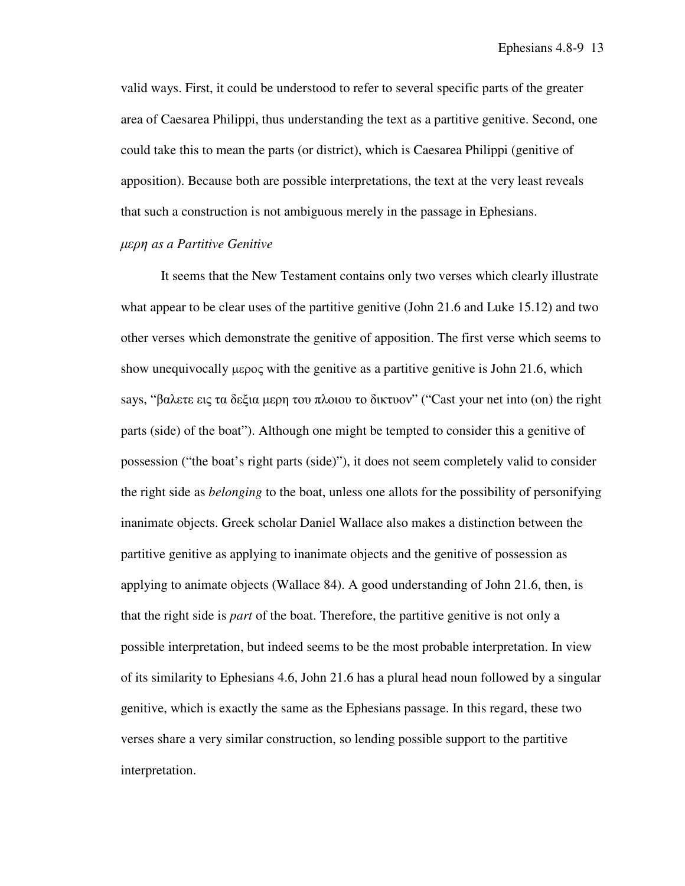valid ways. First, it could be understood to refer to several specific parts of the greater area of Caesarea Philippi, thus understanding the text as a partitive genitive. Second, one could take this to mean the parts (or district), which is Caesarea Philippi (genitive of apposition). Because both are possible interpretations, the text at the very least reveals that such a construction is not ambiguous merely in the passage in Ephesians.

# µερη *as a Partitive Genitive*

It seems that the New Testament contains only two verses which clearly illustrate what appear to be clear uses of the partitive genitive (John 21.6 and Luke 15.12) and two other verses which demonstrate the genitive of apposition. The first verse which seems to show unequivocally  $\mu \epsilon \rho o \epsilon$  with the genitive as a partitive genitive is John 21.6, which says, "βαλετε εις τα δεξια µερη του πλοιου το δικτυον" ("Cast your net into (on) the right parts (side) of the boat"). Although one might be tempted to consider this a genitive of possession ("the boat's right parts (side)"), it does not seem completely valid to consider the right side as *belonging* to the boat, unless one allots for the possibility of personifying inanimate objects. Greek scholar Daniel Wallace also makes a distinction between the partitive genitive as applying to inanimate objects and the genitive of possession as applying to animate objects (Wallace 84). A good understanding of John 21.6, then, is that the right side is *part* of the boat. Therefore, the partitive genitive is not only a possible interpretation, but indeed seems to be the most probable interpretation. In view of its similarity to Ephesians 4.6, John 21.6 has a plural head noun followed by a singular genitive, which is exactly the same as the Ephesians passage. In this regard, these two verses share a very similar construction, so lending possible support to the partitive interpretation.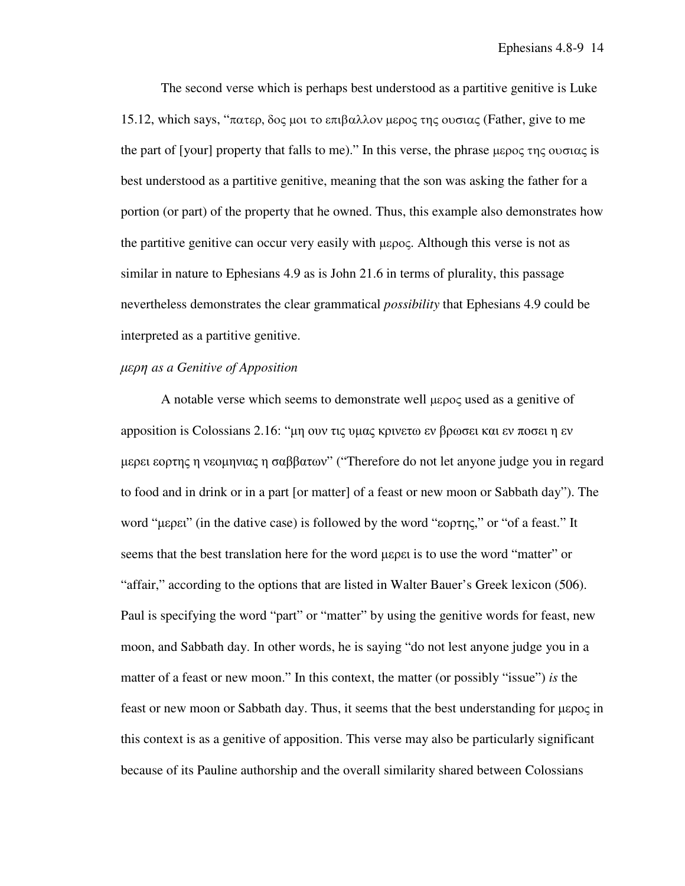The second verse which is perhaps best understood as a partitive genitive is Luke 15.12, which says, "πατερ, δος µοι το επιβαλλον µερος της ουσιας (Father, give to me the part of [your] property that falls to me)." In this verse, the phrase  $\mu$ ερος της ουσιας is best understood as a partitive genitive, meaning that the son was asking the father for a portion (or part) of the property that he owned. Thus, this example also demonstrates how the partitive genitive can occur very easily with µερος. Although this verse is not as similar in nature to Ephesians 4.9 as is John 21.6 in terms of plurality, this passage nevertheless demonstrates the clear grammatical *possibility* that Ephesians 4.9 could be interpreted as a partitive genitive.

## µερη *as a Genitive of Apposition*

A notable verse which seems to demonstrate well µερος used as a genitive of apposition is Colossians 2.16: "µη ουν τις υµας κρινετω εν βρωσει και εν ποσει η εν µερει εορτης η νεοµηνιας η σαββατων" ("Therefore do not let anyone judge you in regard to food and in drink or in a part [or matter] of a feast or new moon or Sabbath day"). The word "µερει" (in the dative case) is followed by the word "εορτης," or "of a feast." It seems that the best translation here for the word μερει is to use the word "matter" or "affair," according to the options that are listed in Walter Bauer's Greek lexicon (506). Paul is specifying the word "part" or "matter" by using the genitive words for feast, new moon, and Sabbath day. In other words, he is saying "do not lest anyone judge you in a matter of a feast or new moon." In this context, the matter (or possibly "issue") *is* the feast or new moon or Sabbath day. Thus, it seems that the best understanding for µερoς in this context is as a genitive of apposition. This verse may also be particularly significant because of its Pauline authorship and the overall similarity shared between Colossians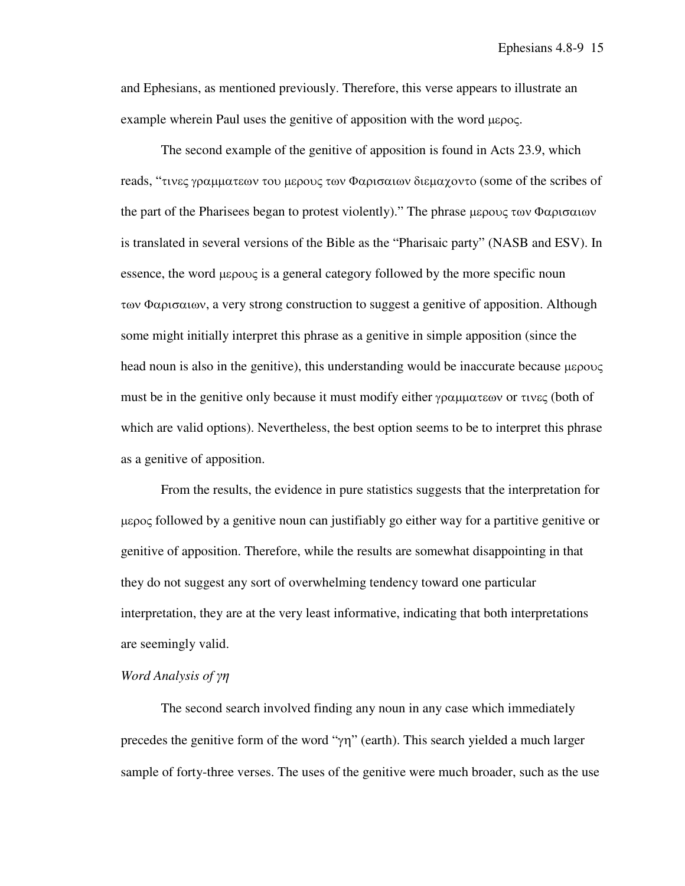and Ephesians, as mentioned previously. Therefore, this verse appears to illustrate an example wherein Paul uses the genitive of apposition with the word µερος.

The second example of the genitive of apposition is found in Acts 23.9, which reads, "τινες γραµµατεων του µερους των Φαρισαιων διεµαχοντο (some of the scribes of the part of the Pharisees began to protest violently)." The phrase µερους των Φαρισαιων is translated in several versions of the Bible as the "Pharisaic party" (NASB and ESV). In essence, the word µερους is a general category followed by the more specific noun των Φαρισαιων, a very strong construction to suggest a genitive of apposition. Although some might initially interpret this phrase as a genitive in simple apposition (since the head noun is also in the genitive), this understanding would be inaccurate because  $\mu \epsilon \rho o \nu \zeta$ must be in the genitive only because it must modify either γραµµατεων or τινες (both of which are valid options). Nevertheless, the best option seems to be to interpret this phrase as a genitive of apposition.

From the results, the evidence in pure statistics suggests that the interpretation for µερος followed by a genitive noun can justifiably go either way for a partitive genitive or genitive of apposition. Therefore, while the results are somewhat disappointing in that they do not suggest any sort of overwhelming tendency toward one particular interpretation, they are at the very least informative, indicating that both interpretations are seemingly valid.

# *Word Analysis of* γη

The second search involved finding any noun in any case which immediately precedes the genitive form of the word "γη" (earth). This search yielded a much larger sample of forty-three verses. The uses of the genitive were much broader, such as the use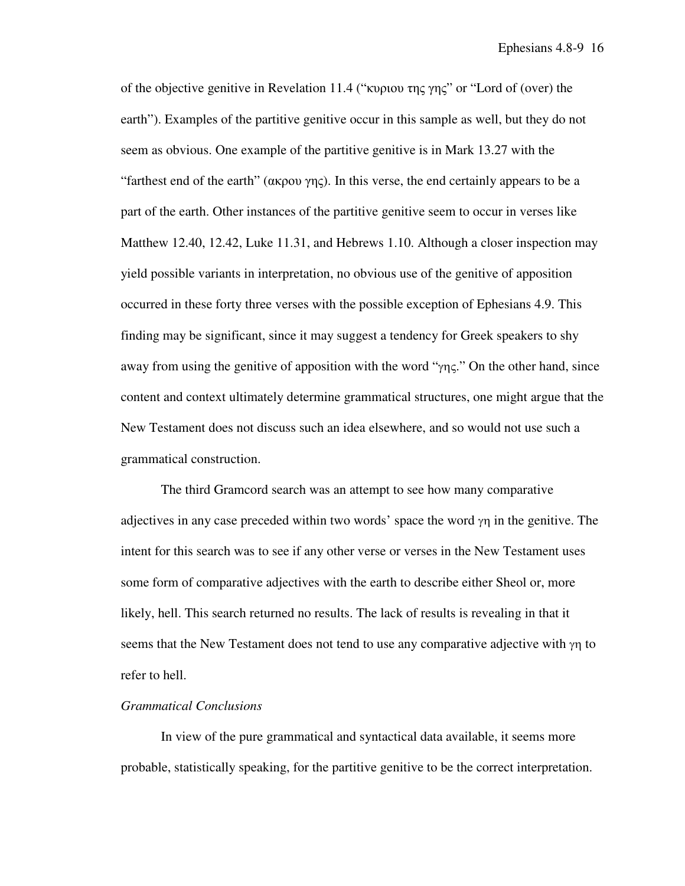of the objective genitive in Revelation 11.4 ("κυριου της γης" or "Lord of (over) the earth"). Examples of the partitive genitive occur in this sample as well, but they do not seem as obvious. One example of the partitive genitive is in Mark 13.27 with the "farthest end of the earth" ( $\alpha$ κρου γης). In this verse, the end certainly appears to be a part of the earth. Other instances of the partitive genitive seem to occur in verses like Matthew 12.40, 12.42, Luke 11.31, and Hebrews 1.10. Although a closer inspection may yield possible variants in interpretation, no obvious use of the genitive of apposition occurred in these forty three verses with the possible exception of Ephesians 4.9. This finding may be significant, since it may suggest a tendency for Greek speakers to shy away from using the genitive of apposition with the word "γης." On the other hand, since content and context ultimately determine grammatical structures, one might argue that the New Testament does not discuss such an idea elsewhere, and so would not use such a grammatical construction.

The third Gramcord search was an attempt to see how many comparative adjectives in any case preceded within two words' space the word  $\gamma$  in the genitive. The intent for this search was to see if any other verse or verses in the New Testament uses some form of comparative adjectives with the earth to describe either Sheol or, more likely, hell. This search returned no results. The lack of results is revealing in that it seems that the New Testament does not tend to use any comparative adjective with  $\gamma$ η to refer to hell.

### *Grammatical Conclusions*

In view of the pure grammatical and syntactical data available, it seems more probable, statistically speaking, for the partitive genitive to be the correct interpretation.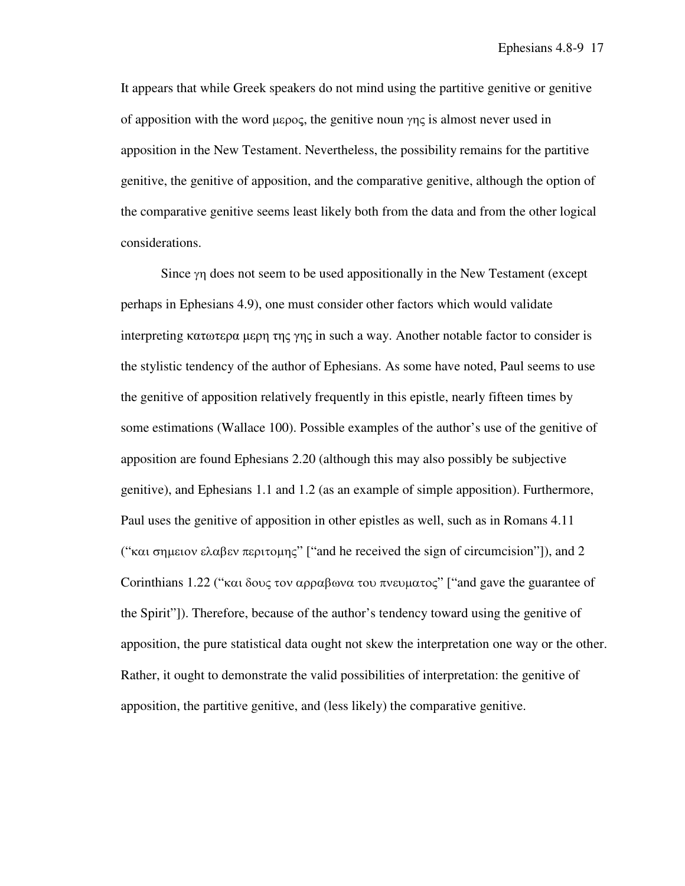It appears that while Greek speakers do not mind using the partitive genitive or genitive of apposition with the word  $\mu \varepsilon \rho o \varsigma$ , the genitive noun γης is almost never used in apposition in the New Testament. Nevertheless, the possibility remains for the partitive genitive, the genitive of apposition, and the comparative genitive, although the option of the comparative genitive seems least likely both from the data and from the other logical considerations.

Since γη does not seem to be used appositionally in the New Testament (except perhaps in Ephesians 4.9), one must consider other factors which would validate interpreting κατωτερα μερη της γης in such a way. Another notable factor to consider is the stylistic tendency of the author of Ephesians. As some have noted, Paul seems to use the genitive of apposition relatively frequently in this epistle, nearly fifteen times by some estimations (Wallace 100). Possible examples of the author's use of the genitive of apposition are found Ephesians 2.20 (although this may also possibly be subjective genitive), and Ephesians 1.1 and 1.2 (as an example of simple apposition). Furthermore, Paul uses the genitive of apposition in other epistles as well, such as in Romans 4.11 ("και σημειον ελαβεν περιτομης" ["and he received the sign of circumcision"]), and 2 Corinthians 1.22 ("και δους τον αρραβωνα του πνευματος" ["and gave the guarantee of the Spirit"]). Therefore, because of the author's tendency toward using the genitive of apposition, the pure statistical data ought not skew the interpretation one way or the other. Rather, it ought to demonstrate the valid possibilities of interpretation: the genitive of apposition, the partitive genitive, and (less likely) the comparative genitive.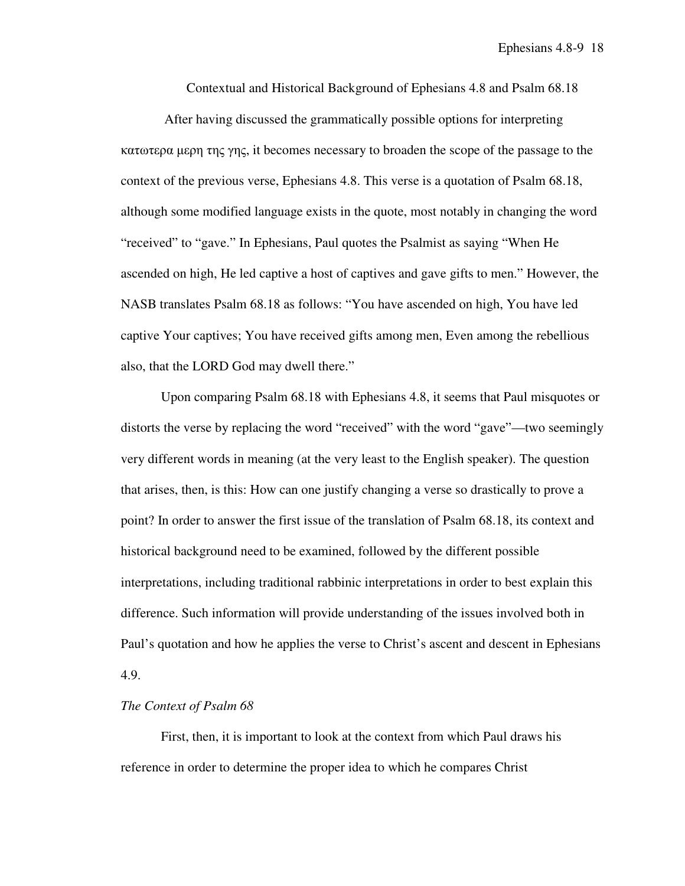Contextual and Historical Background of Ephesians 4.8 and Psalm 68.18

 After having discussed the grammatically possible options for interpreting κατωτερα µερη της γης, it becomes necessary to broaden the scope of the passage to the context of the previous verse, Ephesians 4.8. This verse is a quotation of Psalm 68.18, although some modified language exists in the quote, most notably in changing the word "received" to "gave." In Ephesians, Paul quotes the Psalmist as saying "When He ascended on high, He led captive a host of captives and gave gifts to men." However, the NASB translates Psalm 68.18 as follows: "You have ascended on high, You have led captive Your captives; You have received gifts among men, Even among the rebellious also, that the LORD God may dwell there."

Upon comparing Psalm 68.18 with Ephesians 4.8, it seems that Paul misquotes or distorts the verse by replacing the word "received" with the word "gave"—two seemingly very different words in meaning (at the very least to the English speaker). The question that arises, then, is this: How can one justify changing a verse so drastically to prove a point? In order to answer the first issue of the translation of Psalm 68.18, its context and historical background need to be examined, followed by the different possible interpretations, including traditional rabbinic interpretations in order to best explain this difference. Such information will provide understanding of the issues involved both in Paul's quotation and how he applies the verse to Christ's ascent and descent in Ephesians 4.9.

#### *The Context of Psalm 68*

First, then, it is important to look at the context from which Paul draws his reference in order to determine the proper idea to which he compares Christ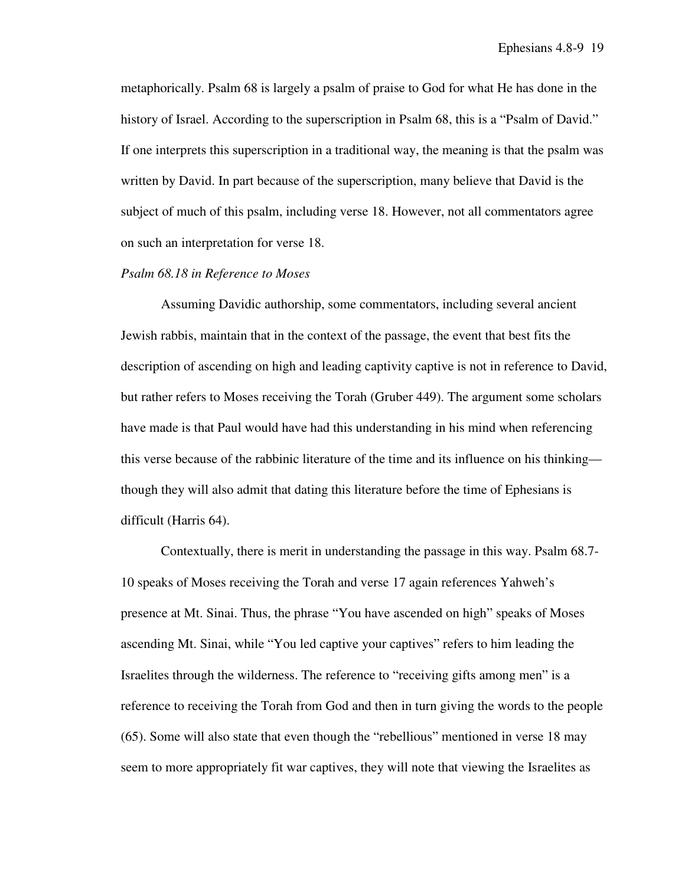metaphorically. Psalm 68 is largely a psalm of praise to God for what He has done in the history of Israel. According to the superscription in Psalm 68, this is a "Psalm of David." If one interprets this superscription in a traditional way, the meaning is that the psalm was written by David. In part because of the superscription, many believe that David is the subject of much of this psalm, including verse 18. However, not all commentators agree on such an interpretation for verse 18.

# *Psalm 68.18 in Reference to Moses*

Assuming Davidic authorship, some commentators, including several ancient Jewish rabbis, maintain that in the context of the passage, the event that best fits the description of ascending on high and leading captivity captive is not in reference to David, but rather refers to Moses receiving the Torah (Gruber 449). The argument some scholars have made is that Paul would have had this understanding in his mind when referencing this verse because of the rabbinic literature of the time and its influence on his thinking though they will also admit that dating this literature before the time of Ephesians is difficult (Harris 64).

Contextually, there is merit in understanding the passage in this way. Psalm 68.7- 10 speaks of Moses receiving the Torah and verse 17 again references Yahweh's presence at Mt. Sinai. Thus, the phrase "You have ascended on high" speaks of Moses ascending Mt. Sinai, while "You led captive your captives" refers to him leading the Israelites through the wilderness. The reference to "receiving gifts among men" is a reference to receiving the Torah from God and then in turn giving the words to the people (65). Some will also state that even though the "rebellious" mentioned in verse 18 may seem to more appropriately fit war captives, they will note that viewing the Israelites as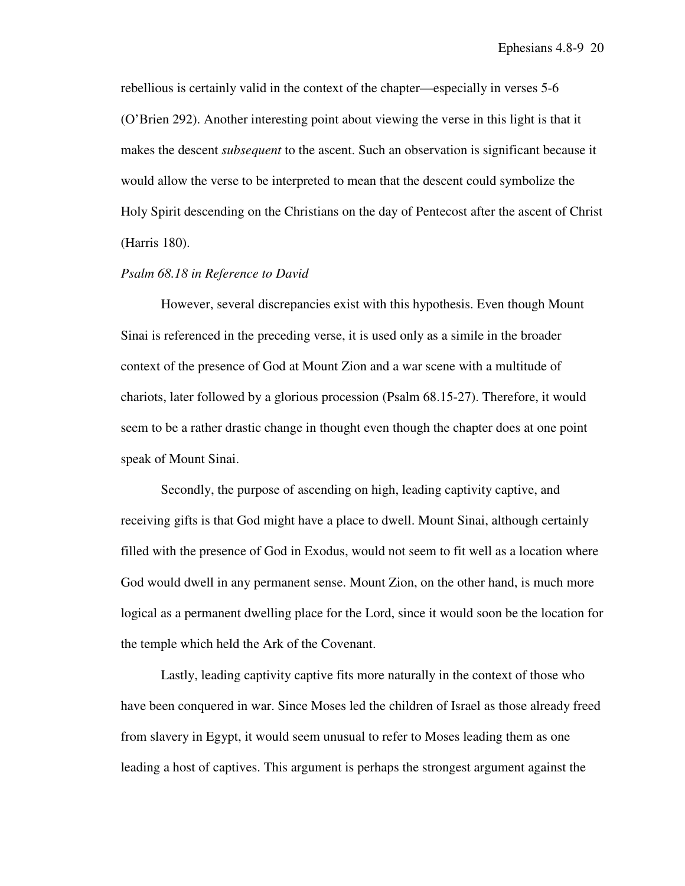rebellious is certainly valid in the context of the chapter—especially in verses 5-6 (O'Brien 292). Another interesting point about viewing the verse in this light is that it makes the descent *subsequent* to the ascent. Such an observation is significant because it would allow the verse to be interpreted to mean that the descent could symbolize the Holy Spirit descending on the Christians on the day of Pentecost after the ascent of Christ (Harris 180).

## *Psalm 68.18 in Reference to David*

However, several discrepancies exist with this hypothesis. Even though Mount Sinai is referenced in the preceding verse, it is used only as a simile in the broader context of the presence of God at Mount Zion and a war scene with a multitude of chariots, later followed by a glorious procession (Psalm 68.15-27). Therefore, it would seem to be a rather drastic change in thought even though the chapter does at one point speak of Mount Sinai.

Secondly, the purpose of ascending on high, leading captivity captive, and receiving gifts is that God might have a place to dwell. Mount Sinai, although certainly filled with the presence of God in Exodus, would not seem to fit well as a location where God would dwell in any permanent sense. Mount Zion, on the other hand, is much more logical as a permanent dwelling place for the Lord, since it would soon be the location for the temple which held the Ark of the Covenant.

Lastly, leading captivity captive fits more naturally in the context of those who have been conquered in war. Since Moses led the children of Israel as those already freed from slavery in Egypt, it would seem unusual to refer to Moses leading them as one leading a host of captives. This argument is perhaps the strongest argument against the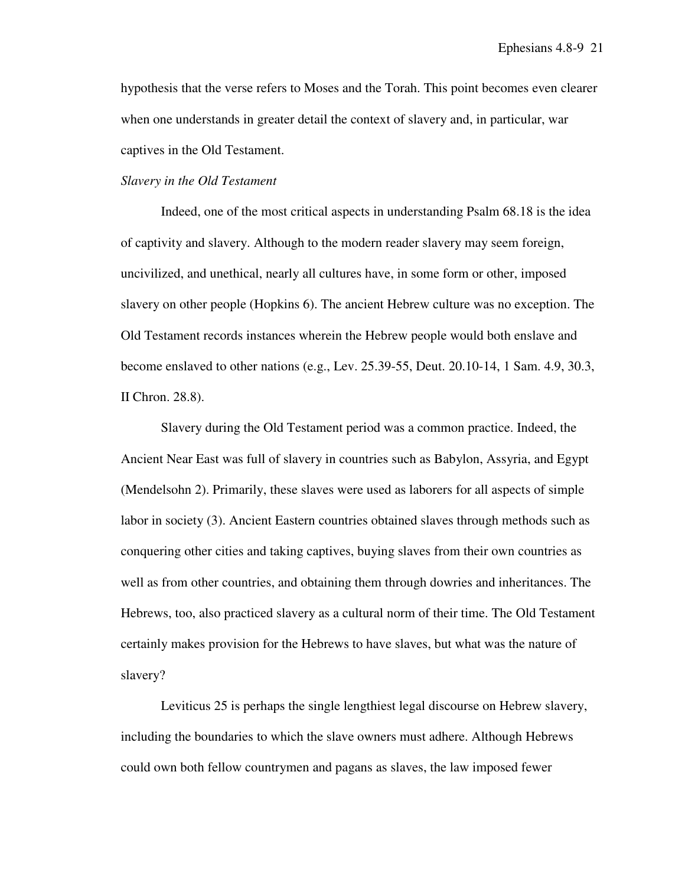hypothesis that the verse refers to Moses and the Torah. This point becomes even clearer when one understands in greater detail the context of slavery and, in particular, war captives in the Old Testament.

## *Slavery in the Old Testament*

Indeed, one of the most critical aspects in understanding Psalm 68.18 is the idea of captivity and slavery. Although to the modern reader slavery may seem foreign, uncivilized, and unethical, nearly all cultures have, in some form or other, imposed slavery on other people (Hopkins 6). The ancient Hebrew culture was no exception. The Old Testament records instances wherein the Hebrew people would both enslave and become enslaved to other nations (e.g., Lev. 25.39-55, Deut. 20.10-14, 1 Sam. 4.9, 30.3, II Chron. 28.8).

Slavery during the Old Testament period was a common practice. Indeed, the Ancient Near East was full of slavery in countries such as Babylon, Assyria, and Egypt (Mendelsohn 2). Primarily, these slaves were used as laborers for all aspects of simple labor in society (3). Ancient Eastern countries obtained slaves through methods such as conquering other cities and taking captives, buying slaves from their own countries as well as from other countries, and obtaining them through dowries and inheritances. The Hebrews, too, also practiced slavery as a cultural norm of their time. The Old Testament certainly makes provision for the Hebrews to have slaves, but what was the nature of slavery?

Leviticus 25 is perhaps the single lengthiest legal discourse on Hebrew slavery, including the boundaries to which the slave owners must adhere. Although Hebrews could own both fellow countrymen and pagans as slaves, the law imposed fewer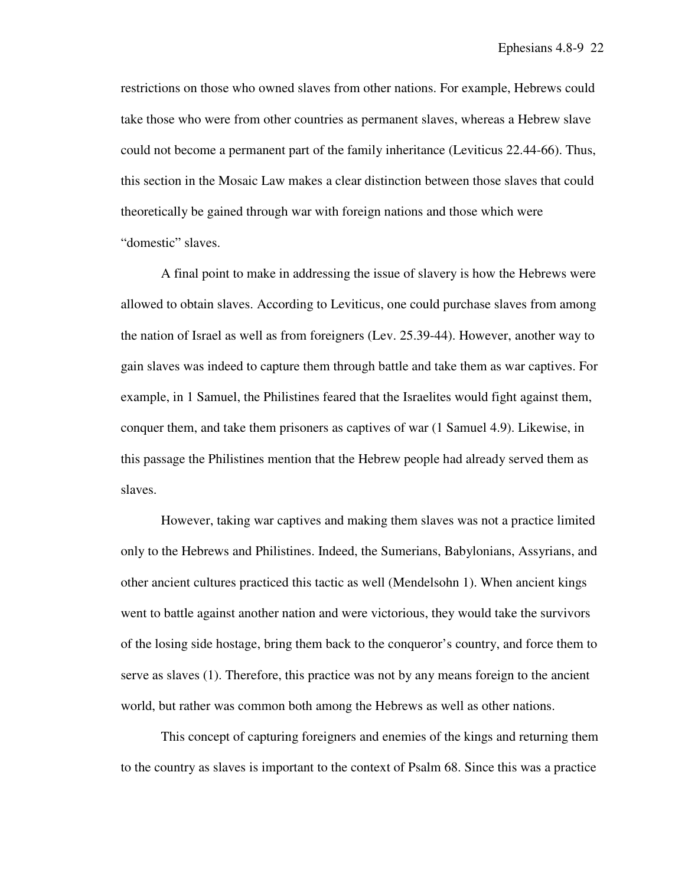restrictions on those who owned slaves from other nations. For example, Hebrews could take those who were from other countries as permanent slaves, whereas a Hebrew slave could not become a permanent part of the family inheritance (Leviticus 22.44-66). Thus, this section in the Mosaic Law makes a clear distinction between those slaves that could theoretically be gained through war with foreign nations and those which were "domestic" slaves.

A final point to make in addressing the issue of slavery is how the Hebrews were allowed to obtain slaves. According to Leviticus, one could purchase slaves from among the nation of Israel as well as from foreigners (Lev. 25.39-44). However, another way to gain slaves was indeed to capture them through battle and take them as war captives. For example, in 1 Samuel, the Philistines feared that the Israelites would fight against them, conquer them, and take them prisoners as captives of war (1 Samuel 4.9). Likewise, in this passage the Philistines mention that the Hebrew people had already served them as slaves.

However, taking war captives and making them slaves was not a practice limited only to the Hebrews and Philistines. Indeed, the Sumerians, Babylonians, Assyrians, and other ancient cultures practiced this tactic as well (Mendelsohn 1). When ancient kings went to battle against another nation and were victorious, they would take the survivors of the losing side hostage, bring them back to the conqueror's country, and force them to serve as slaves (1). Therefore, this practice was not by any means foreign to the ancient world, but rather was common both among the Hebrews as well as other nations.

This concept of capturing foreigners and enemies of the kings and returning them to the country as slaves is important to the context of Psalm 68. Since this was a practice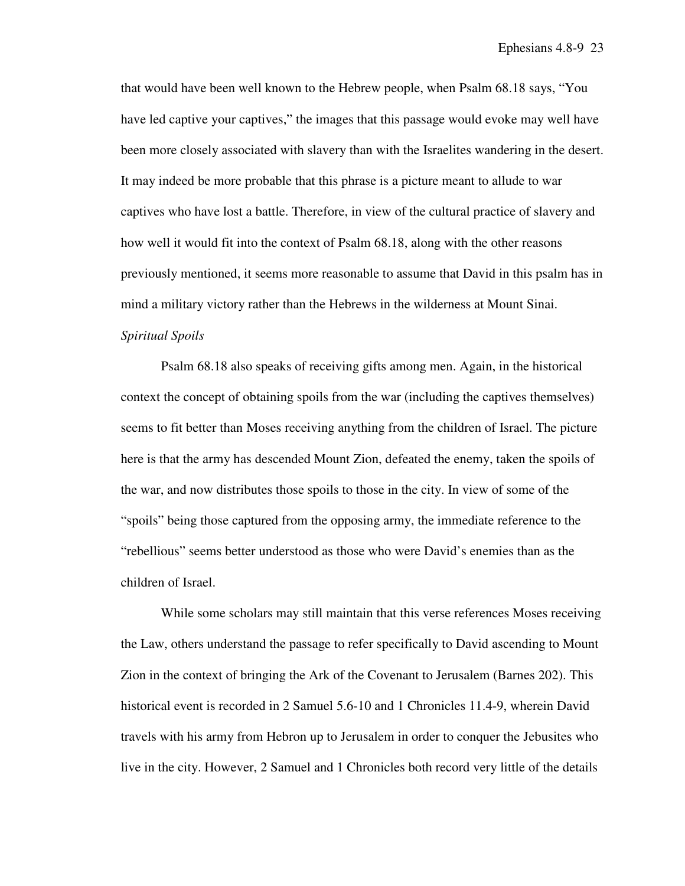that would have been well known to the Hebrew people, when Psalm 68.18 says, "You have led captive your captives," the images that this passage would evoke may well have been more closely associated with slavery than with the Israelites wandering in the desert. It may indeed be more probable that this phrase is a picture meant to allude to war captives who have lost a battle. Therefore, in view of the cultural practice of slavery and how well it would fit into the context of Psalm 68.18, along with the other reasons previously mentioned, it seems more reasonable to assume that David in this psalm has in mind a military victory rather than the Hebrews in the wilderness at Mount Sinai. *Spiritual Spoils* 

Psalm 68.18 also speaks of receiving gifts among men. Again, in the historical context the concept of obtaining spoils from the war (including the captives themselves) seems to fit better than Moses receiving anything from the children of Israel. The picture here is that the army has descended Mount Zion, defeated the enemy, taken the spoils of the war, and now distributes those spoils to those in the city. In view of some of the "spoils" being those captured from the opposing army, the immediate reference to the "rebellious" seems better understood as those who were David's enemies than as the children of Israel.

While some scholars may still maintain that this verse references Moses receiving the Law, others understand the passage to refer specifically to David ascending to Mount Zion in the context of bringing the Ark of the Covenant to Jerusalem (Barnes 202). This historical event is recorded in 2 Samuel 5.6-10 and 1 Chronicles 11.4-9, wherein David travels with his army from Hebron up to Jerusalem in order to conquer the Jebusites who live in the city. However, 2 Samuel and 1 Chronicles both record very little of the details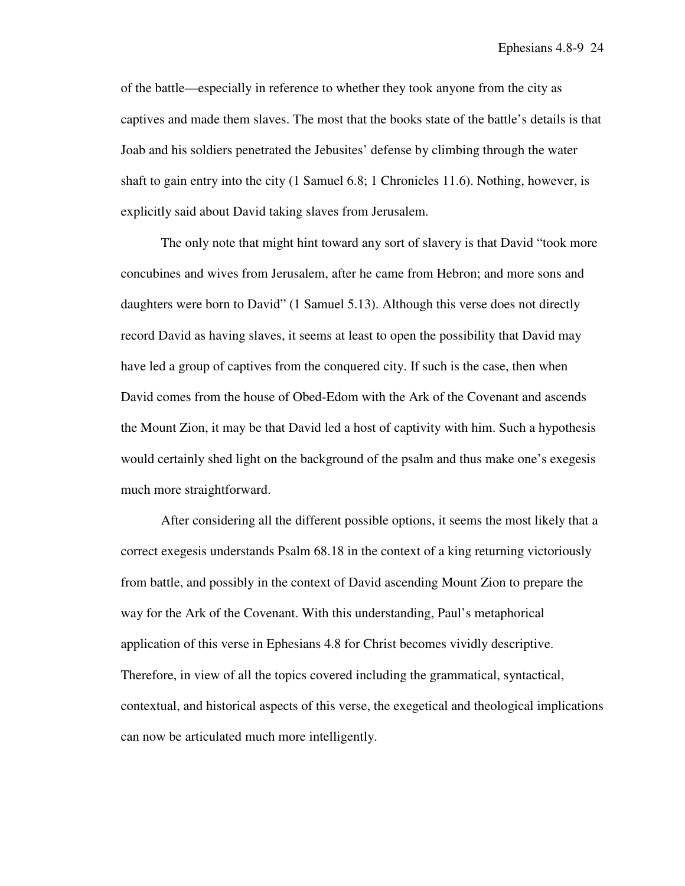of the battle—especially in reference to whether they took anyone from the city as captives and made them slaves. The most that the books state of the battle's details is that Joab and his soldiers penetrated the Jebusites' defense by climbing through the water shaft to gain entry into the city (1 Samuel 6.8; 1 Chronicles 11.6). Nothing, however, is explicitly said about David taking slaves from Jerusalem.

The only note that might hint toward any sort of slavery is that David "took more concubines and wives from Jerusalem, after he came from Hebron; and more sons and daughters were born to David" (1 Samuel 5.13). Although this verse does not directly record David as having slaves, it seems at least to open the possibility that David may have led a group of captives from the conquered city. If such is the case, then when David comes from the house of Obed-Edom with the Ark of the Covenant and ascends the Mount Zion, it may be that David led a host of captivity with him. Such a hypothesis would certainly shed light on the background of the psalm and thus make one's exegesis much more straightforward.

After considering all the different possible options, it seems the most likely that a correct exegesis understands Psalm 68.18 in the context of a king returning victoriously from battle, and possibly in the context of David ascending Mount Zion to prepare the way for the Ark of the Covenant. With this understanding, Paul's metaphorical application of this verse in Ephesians 4.8 for Christ becomes vividly descriptive. Therefore, in view of all the topics covered including the grammatical, syntactical, contextual, and historical aspects of this verse, the exegetical and theological implications can now be articulated much more intelligently.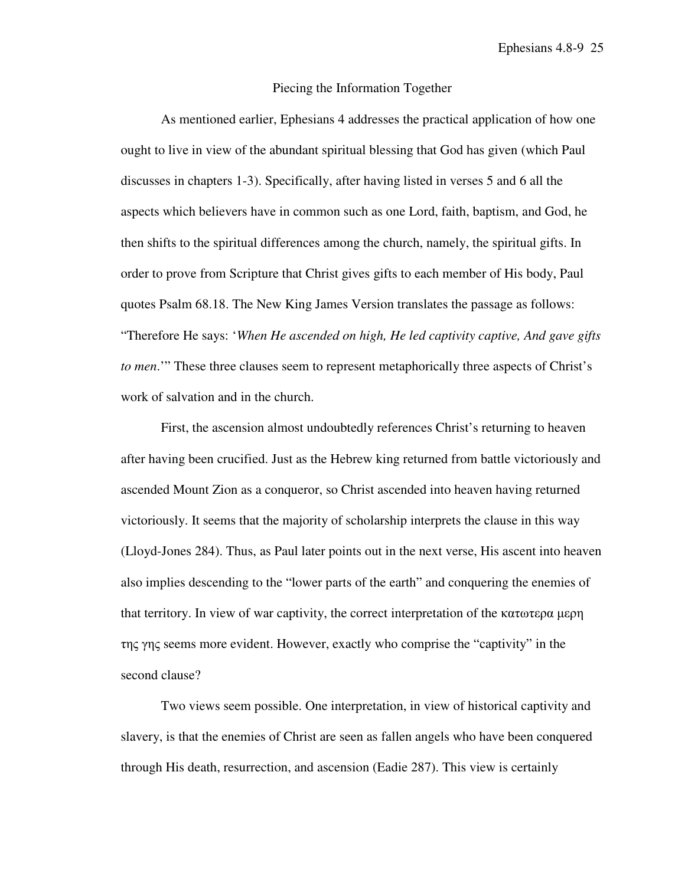#### Piecing the Information Together

 As mentioned earlier, Ephesians 4 addresses the practical application of how one ought to live in view of the abundant spiritual blessing that God has given (which Paul discusses in chapters 1-3). Specifically, after having listed in verses 5 and 6 all the aspects which believers have in common such as one Lord, faith, baptism, and God, he then shifts to the spiritual differences among the church, namely, the spiritual gifts. In order to prove from Scripture that Christ gives gifts to each member of His body, Paul quotes Psalm 68.18. The New King James Version translates the passage as follows: "Therefore He says: '*When He ascended on high, He led captivity captive, And gave gifts to men*.'" These three clauses seem to represent metaphorically three aspects of Christ's work of salvation and in the church.

 First, the ascension almost undoubtedly references Christ's returning to heaven after having been crucified. Just as the Hebrew king returned from battle victoriously and ascended Mount Zion as a conqueror, so Christ ascended into heaven having returned victoriously. It seems that the majority of scholarship interprets the clause in this way (Lloyd-Jones 284). Thus, as Paul later points out in the next verse, His ascent into heaven also implies descending to the "lower parts of the earth" and conquering the enemies of that territory. In view of war captivity, the correct interpretation of the κατωτερα μερη της γης seems more evident. However, exactly who comprise the "captivity" in the second clause?

Two views seem possible. One interpretation, in view of historical captivity and slavery, is that the enemies of Christ are seen as fallen angels who have been conquered through His death, resurrection, and ascension (Eadie 287). This view is certainly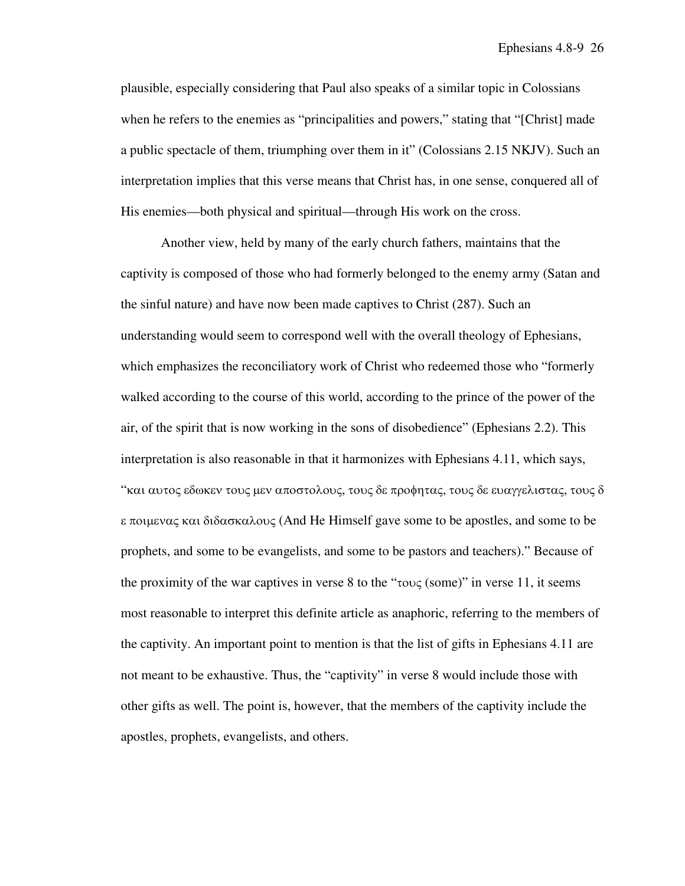plausible, especially considering that Paul also speaks of a similar topic in Colossians when he refers to the enemies as "principalities and powers," stating that "[Christ] made a public spectacle of them, triumphing over them in it" (Colossians 2.15 NKJV). Such an interpretation implies that this verse means that Christ has, in one sense, conquered all of His enemies—both physical and spiritual—through His work on the cross.

Another view, held by many of the early church fathers, maintains that the captivity is composed of those who had formerly belonged to the enemy army (Satan and the sinful nature) and have now been made captives to Christ (287). Such an understanding would seem to correspond well with the overall theology of Ephesians, which emphasizes the reconciliatory work of Christ who redeemed those who "formerly walked according to the course of this world, according to the prince of the power of the air, of the spirit that is now working in the sons of disobedience" (Ephesians 2.2). This interpretation is also reasonable in that it harmonizes with Ephesians 4.11, which says, "και αυτος εδωκεν τους µεν αποστολους, τους δε προφητας, τους δε ευαγγελιστας, τους δ ε ποιµενας και διδασκαλους (And He Himself gave some to be apostles, and some to be prophets, and some to be evangelists, and some to be pastors and teachers)." Because of the proximity of the war captives in verse 8 to the " $\tau \text{ov}_\mathcal{S}$  (some)" in verse 11, it seems most reasonable to interpret this definite article as anaphoric, referring to the members of the captivity. An important point to mention is that the list of gifts in Ephesians 4.11 are not meant to be exhaustive. Thus, the "captivity" in verse 8 would include those with other gifts as well. The point is, however, that the members of the captivity include the apostles, prophets, evangelists, and others.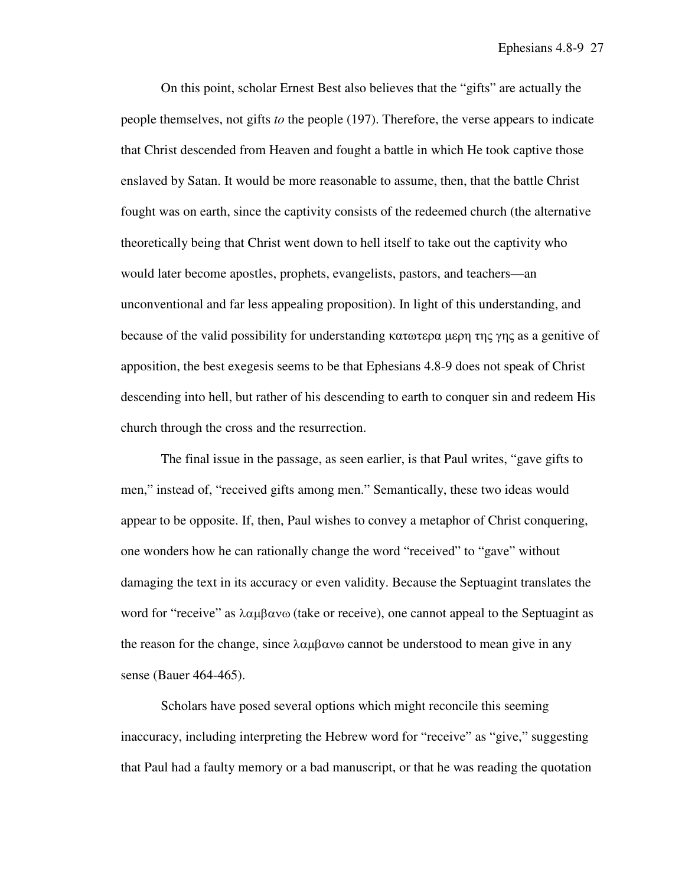On this point, scholar Ernest Best also believes that the "gifts" are actually the people themselves, not gifts *to* the people (197). Therefore, the verse appears to indicate that Christ descended from Heaven and fought a battle in which He took captive those enslaved by Satan. It would be more reasonable to assume, then, that the battle Christ fought was on earth, since the captivity consists of the redeemed church (the alternative theoretically being that Christ went down to hell itself to take out the captivity who would later become apostles, prophets, evangelists, pastors, and teachers—an unconventional and far less appealing proposition). In light of this understanding, and because of the valid possibility for understanding κατωτερα µερη της γης as a genitive of apposition, the best exegesis seems to be that Ephesians 4.8-9 does not speak of Christ descending into hell, but rather of his descending to earth to conquer sin and redeem His church through the cross and the resurrection.

The final issue in the passage, as seen earlier, is that Paul writes, "gave gifts to men," instead of, "received gifts among men." Semantically, these two ideas would appear to be opposite. If, then, Paul wishes to convey a metaphor of Christ conquering, one wonders how he can rationally change the word "received" to "gave" without damaging the text in its accuracy or even validity. Because the Septuagint translates the word for "receive" as  $\lambda \alpha \mu \beta \alpha \nu \omega$  (take or receive), one cannot appeal to the Septuagint as the reason for the change, since  $\lambda \alpha \mu \beta \alpha \nu \omega$  cannot be understood to mean give in any sense (Bauer 464-465).

Scholars have posed several options which might reconcile this seeming inaccuracy, including interpreting the Hebrew word for "receive" as "give," suggesting that Paul had a faulty memory or a bad manuscript, or that he was reading the quotation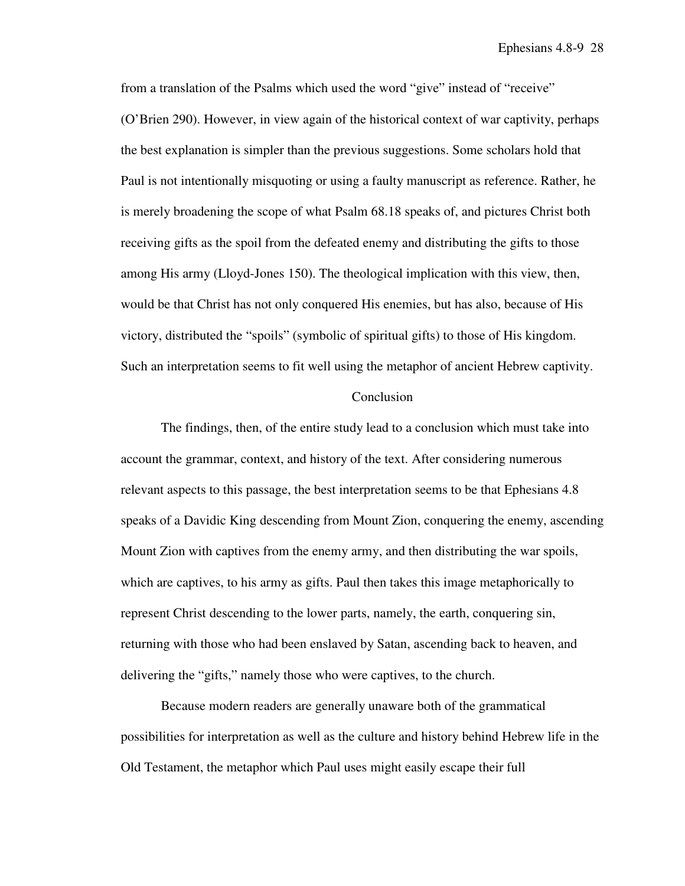from a translation of the Psalms which used the word "give" instead of "receive" (O'Brien 290). However, in view again of the historical context of war captivity, perhaps the best explanation is simpler than the previous suggestions. Some scholars hold that Paul is not intentionally misquoting or using a faulty manuscript as reference. Rather, he is merely broadening the scope of what Psalm 68.18 speaks of, and pictures Christ both receiving gifts as the spoil from the defeated enemy and distributing the gifts to those among His army (Lloyd-Jones 150). The theological implication with this view, then, would be that Christ has not only conquered His enemies, but has also, because of His victory, distributed the "spoils" (symbolic of spiritual gifts) to those of His kingdom. Such an interpretation seems to fit well using the metaphor of ancient Hebrew captivity.

## **Conclusion**

The findings, then, of the entire study lead to a conclusion which must take into account the grammar, context, and history of the text. After considering numerous relevant aspects to this passage, the best interpretation seems to be that Ephesians 4.8 speaks of a Davidic King descending from Mount Zion, conquering the enemy, ascending Mount Zion with captives from the enemy army, and then distributing the war spoils, which are captives, to his army as gifts. Paul then takes this image metaphorically to represent Christ descending to the lower parts, namely, the earth, conquering sin, returning with those who had been enslaved by Satan, ascending back to heaven, and delivering the "gifts," namely those who were captives, to the church.

Because modern readers are generally unaware both of the grammatical possibilities for interpretation as well as the culture and history behind Hebrew life in the Old Testament, the metaphor which Paul uses might easily escape their full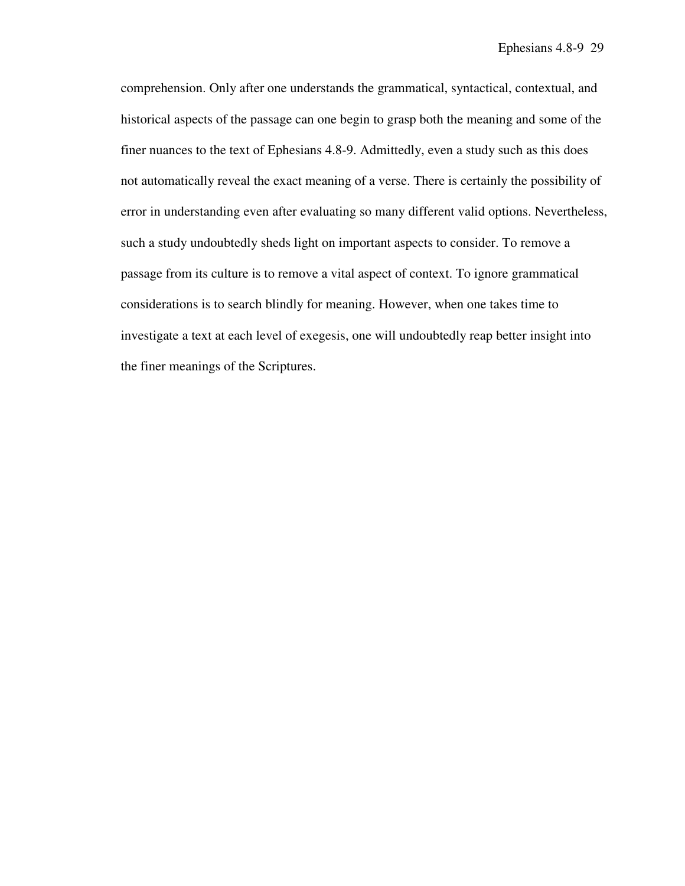comprehension. Only after one understands the grammatical, syntactical, contextual, and historical aspects of the passage can one begin to grasp both the meaning and some of the finer nuances to the text of Ephesians 4.8-9. Admittedly, even a study such as this does not automatically reveal the exact meaning of a verse. There is certainly the possibility of error in understanding even after evaluating so many different valid options. Nevertheless, such a study undoubtedly sheds light on important aspects to consider. To remove a passage from its culture is to remove a vital aspect of context. To ignore grammatical considerations is to search blindly for meaning. However, when one takes time to investigate a text at each level of exegesis, one will undoubtedly reap better insight into the finer meanings of the Scriptures.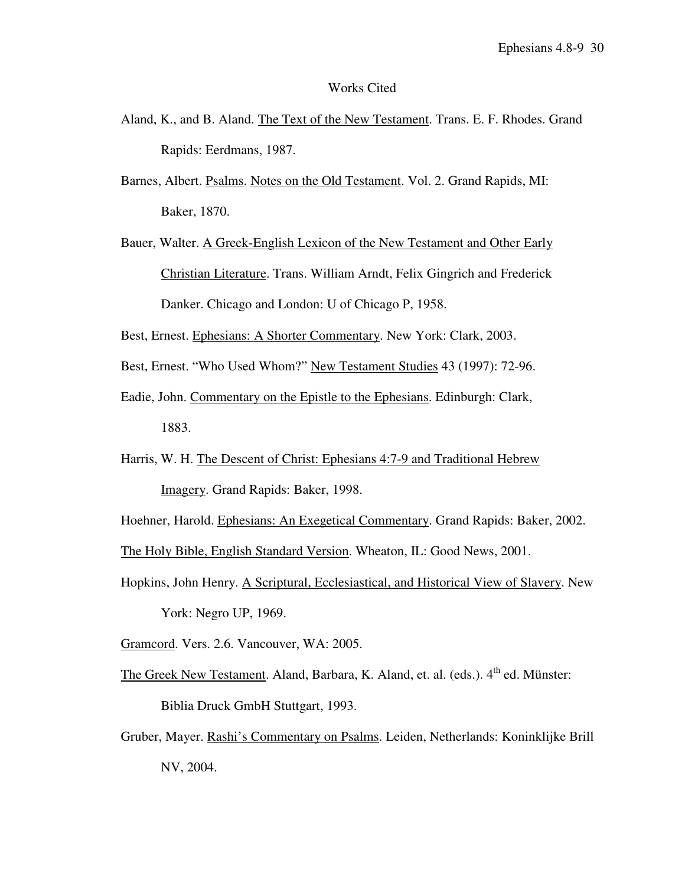## Works Cited

- Aland, K., and B. Aland. The Text of the New Testament. Trans. E. F. Rhodes. Grand Rapids: Eerdmans, 1987.
- Barnes, Albert. Psalms. Notes on the Old Testament. Vol. 2. Grand Rapids, MI: Baker, 1870.
- Bauer, Walter. A Greek-English Lexicon of the New Testament and Other Early Christian Literature. Trans. William Arndt, Felix Gingrich and Frederick Danker. Chicago and London: U of Chicago P, 1958.
- Best, Ernest. Ephesians: A Shorter Commentary. New York: Clark, 2003.
- Best, Ernest. "Who Used Whom?" New Testament Studies 43 (1997): 72-96.
- Eadie, John. Commentary on the Epistle to the Ephesians. Edinburgh: Clark, 1883.
- Harris, W. H. The Descent of Christ: Ephesians 4:7-9 and Traditional Hebrew Imagery. Grand Rapids: Baker, 1998.
- Hoehner, Harold. Ephesians: An Exegetical Commentary. Grand Rapids: Baker, 2002.

The Holy Bible, English Standard Version. Wheaton, IL: Good News, 2001.

Hopkins, John Henry. A Scriptural, Ecclesiastical, and Historical View of Slavery. New York: Negro UP, 1969.

Gramcord. Vers. 2.6. Vancouver, WA: 2005.

- The Greek New Testament. Aland, Barbara, K. Aland, et. al. (eds.). 4<sup>th</sup> ed. Münster: Biblia Druck GmbH Stuttgart, 1993.
- Gruber, Mayer. Rashi's Commentary on Psalms. Leiden, Netherlands: Koninklijke Brill NV, 2004.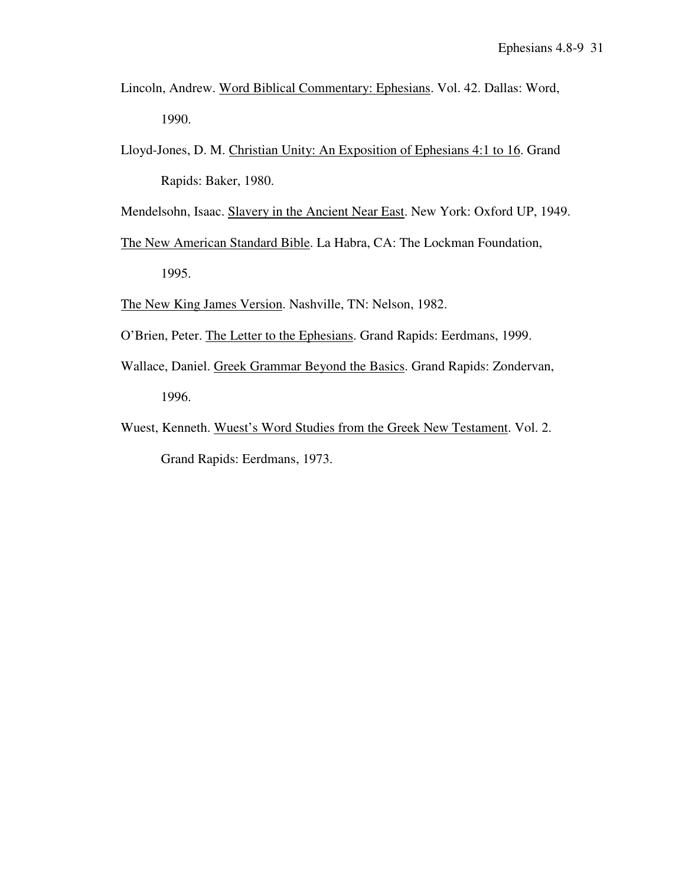- Lincoln, Andrew. Word Biblical Commentary: Ephesians. Vol. 42. Dallas: Word, 1990.
- Lloyd-Jones, D. M. Christian Unity: An Exposition of Ephesians 4:1 to 16. Grand Rapids: Baker, 1980.

Mendelsohn, Isaac. Slavery in the Ancient Near East. New York: Oxford UP, 1949.

- The New American Standard Bible. La Habra, CA: The Lockman Foundation, 1995.
- The New King James Version. Nashville, TN: Nelson, 1982.
- O'Brien, Peter. The Letter to the Ephesians. Grand Rapids: Eerdmans, 1999.
- Wallace, Daniel. Greek Grammar Beyond the Basics. Grand Rapids: Zondervan, 1996.
- Wuest, Kenneth. Wuest's Word Studies from the Greek New Testament. Vol. 2. Grand Rapids: Eerdmans, 1973.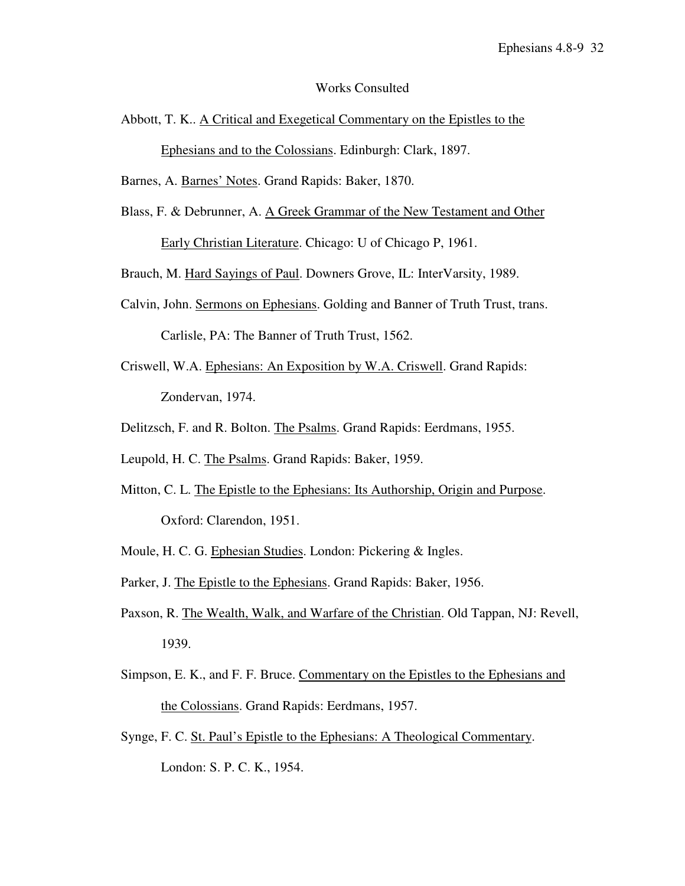### Works Consulted

Abbott, T. K.. A Critical and Exegetical Commentary on the Epistles to the Ephesians and to the Colossians. Edinburgh: Clark, 1897.

Barnes, A. Barnes' Notes. Grand Rapids: Baker, 1870.

Blass, F. & Debrunner, A. A Greek Grammar of the New Testament and Other Early Christian Literature. Chicago: U of Chicago P, 1961.

Brauch, M. Hard Sayings of Paul. Downers Grove, IL: InterVarsity, 1989.

- Calvin, John. Sermons on Ephesians. Golding and Banner of Truth Trust, trans. Carlisle, PA: The Banner of Truth Trust, 1562.
- Criswell, W.A. Ephesians: An Exposition by W.A. Criswell. Grand Rapids: Zondervan, 1974.
- Delitzsch, F. and R. Bolton. The Psalms. Grand Rapids: Eerdmans, 1955.
- Leupold, H. C. The Psalms. Grand Rapids: Baker, 1959.
- Mitton, C. L. The Epistle to the Ephesians: Its Authorship, Origin and Purpose. Oxford: Clarendon, 1951.
- Moule, H. C. G. Ephesian Studies. London: Pickering & Ingles.
- Parker, J. The Epistle to the Ephesians. Grand Rapids: Baker, 1956.
- Paxson, R. The Wealth, Walk, and Warfare of the Christian. Old Tappan, NJ: Revell, 1939.
- Simpson, E. K., and F. F. Bruce. Commentary on the Epistles to the Ephesians and the Colossians. Grand Rapids: Eerdmans, 1957.
- Synge, F. C. St. Paul's Epistle to the Ephesians: A Theological Commentary. London: S. P. C. K., 1954.